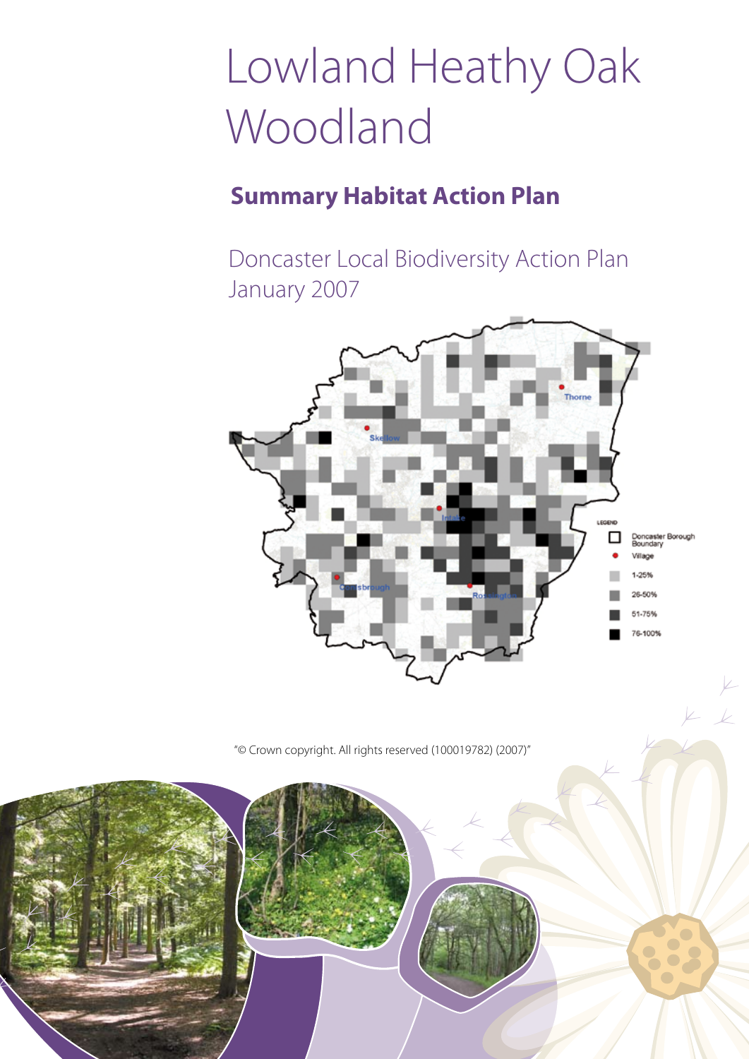# Lowland Heathy Oak Woodland

### **Summary Habitat Action Plan**

Doncaster Local Biodiversity Action Plan January 2007



"© Crown copyright. All rights reserved (100019782) (2007)"

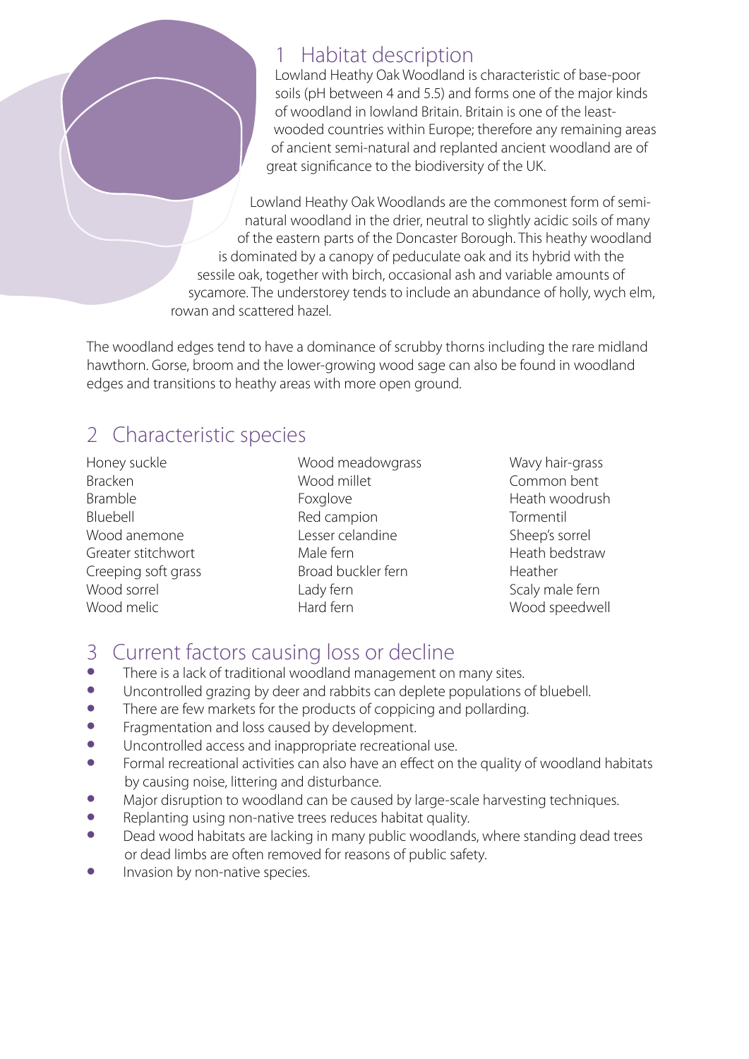### 1 Habitat description

Lowland Heathy Oak Woodland is characteristic of base-poor soils (pH between 4 and 5.5) and forms one of the major kinds of woodland in lowland Britain. Britain is one of the leastwooded countries within Europe; therefore any remaining areas of ancient semi-natural and replanted ancient woodland are of great significance to the biodiversity of the UK.

Lowland Heathy Oak Woodlands are the commonest form of seminatural woodland in the drier, neutral to slightly acidic soils of many of the eastern parts of the Doncaster Borough. This heathy woodland is dominated by a canopy of peduculate oak and its hybrid with the sessile oak, together with birch, occasional ash and variable amounts of sycamore. The understorey tends to include an abundance of holly, wych elm, rowan and scattered hazel.

The woodland edges tend to have a dominance of scrubby thorns including the rare midland hawthorn. Gorse, broom and the lower-growing wood sage can also be found in woodland edges and transitions to heathy areas with more open ground.

### 2 Characteristic species

Honey suckle Bracken Bramble Bluebell Wood anemone Greater stitchwort Creeping soft grass Wood sorrel Wood melic

Wood meadowgrass Wood millet Foxglove Red campion Lesser celandine Male fern Broad buckler fern Lady fern Hard fern

Wavy hair-grass Common bent Heath woodrush Tormentil Sheep's sorrel Heath bedstraw Heather Scaly male fern Wood speedwell

## 3 Current factors causing loss or decline

- There is a lack of traditional woodland management on many sites.<br>• Incontrolled grazing by deer and rabbits can deplete populations of
- Uncontrolled grazing by deer and rabbits can deplete populations of bluebell.<br>• There are few markets for the products of coppicing and pollarding.
- There are few markets for the products of coppicing and pollarding.<br>• Fragmentation and loss caused by development
- Fragmentation and loss caused by development.<br>• Incontrolled access and inappropriate recreation
- Uncontrolled access and inappropriate recreational use.<br>• Formal recreational activities can also have an effect on t
- Formal recreational activities can also have an effect on the quality of woodland habitats by causing noise, littering and disturbance.
- Major disruption to woodland can be caused by large-scale harvesting techniques.<br>• Replanting using non-pative trees reduces babitat quality
- Replanting using non-native trees reduces habitat quality.<br>• Dead wood babitats are lacking in many public woodlands
- Dead wood habitats are lacking in many public woodlands, where standing dead trees or dead limbs are often removed for reasons of public safety.
- Invasion by non-native species.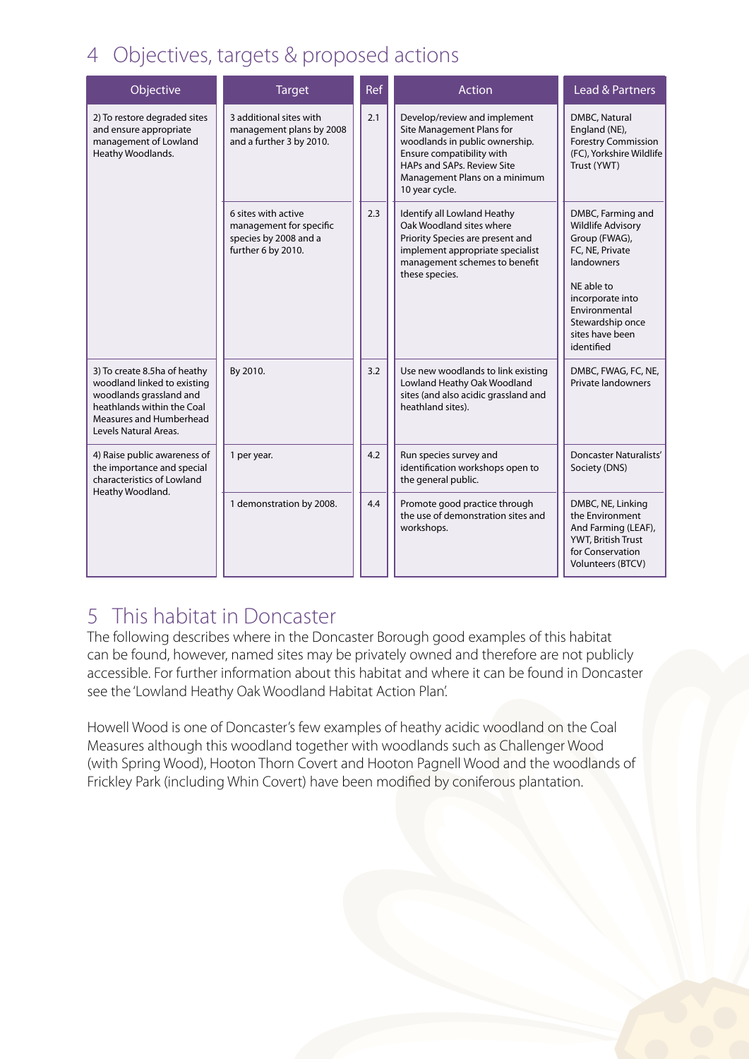### 4 Objectives, targets & proposed actions

| Objective                                                                                                                                                                | <b>Target</b>                                                                                 | <b>Ref</b> | <b>Action</b>                                                                                                                                                                                             | <b>Lead &amp; Partners</b>                                                                                                                                                                              |
|--------------------------------------------------------------------------------------------------------------------------------------------------------------------------|-----------------------------------------------------------------------------------------------|------------|-----------------------------------------------------------------------------------------------------------------------------------------------------------------------------------------------------------|---------------------------------------------------------------------------------------------------------------------------------------------------------------------------------------------------------|
| 2) To restore degraded sites<br>and ensure appropriate<br>management of Lowland<br>Heathy Woodlands.                                                                     | 3 additional sites with<br>management plans by 2008<br>and a further 3 by 2010.               | 2.1        | Develop/review and implement<br>Site Management Plans for<br>woodlands in public ownership.<br>Ensure compatibility with<br>HAPs and SAPs. Review Site<br>Management Plans on a minimum<br>10 year cycle. | DMBC, Natural<br>England (NE),<br><b>Forestry Commission</b><br>(FC), Yorkshire Wildlife<br>Trust (YWT)                                                                                                 |
|                                                                                                                                                                          | 6 sites with active<br>management for specific<br>species by 2008 and a<br>further 6 by 2010. | 2.3        | Identify all Lowland Heathy<br>Oak Woodland sites where<br>Priority Species are present and<br>implement appropriate specialist<br>management schemes to benefit<br>these species.                        | DMBC, Farming and<br><b>Wildlife Advisory</b><br>Group (FWAG),<br>FC, NE, Private<br>landowners<br>NE able to<br>incorporate into<br>Environmental<br>Stewardship once<br>sites have been<br>identified |
| 3) To create 8.5ha of heathy<br>woodland linked to existing<br>woodlands grassland and<br>heathlands within the Coal<br>Measures and Humberhead<br>Levels Natural Areas. | By 2010.                                                                                      | 3.2        | Use new woodlands to link existing<br>Lowland Heathy Oak Woodland<br>sites (and also acidic grassland and<br>heathland sites).                                                                            | DMBC, FWAG, FC, NE,<br><b>Private landowners</b>                                                                                                                                                        |
| 4) Raise public awareness of<br>the importance and special<br>characteristics of Lowland<br>Heathy Woodland.                                                             | 1 per year.                                                                                   | 4.2        | Run species survey and<br>identification workshops open to<br>the general public.                                                                                                                         | <b>Doncaster Naturalists'</b><br>Society (DNS)                                                                                                                                                          |
|                                                                                                                                                                          | 1 demonstration by 2008.                                                                      | 4.4        | Promote good practice through<br>the use of demonstration sites and<br>workshops.                                                                                                                         | DMBC, NE, Linking<br>the Environment<br>And Farming (LEAF),<br>YWT, British Trust<br>for Conservation<br>Volunteers (BTCV)                                                                              |

### 5 This habitat in Doncaster

The following describes where in the Doncaster Borough good examples of this habitat can be found, however, named sites may be privately owned and therefore are not publicly accessible. For further information about this habitat and where it can be found in Doncaster see the 'Lowland Heathy Oak Woodland Habitat Action Plan'.

Howell Wood is one of Doncaster's few examples of heathy acidic woodland on the Coal Measures although this woodland together with woodlands such as Challenger Wood (with Spring Wood), Hooton Thorn Covert and Hooton Pagnell Wood and the woodlands of Frickley Park (including Whin Covert) have been modified by coniferous plantation.